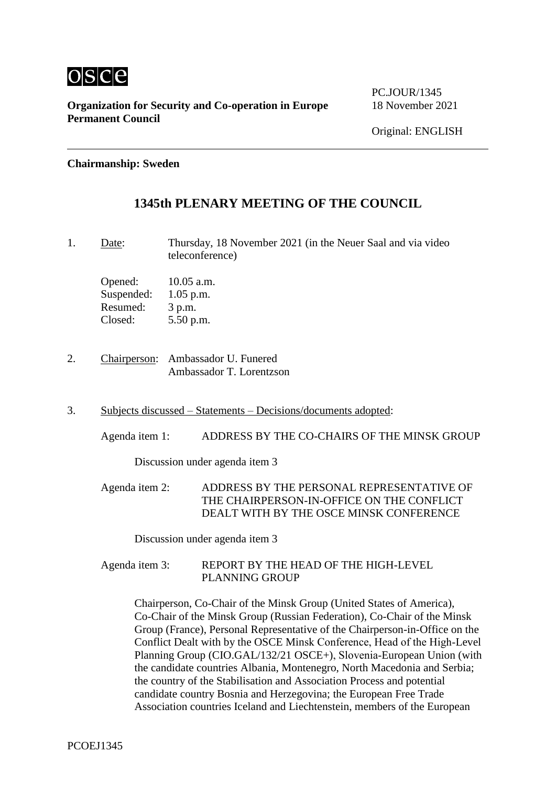

**Organization for Security and Co-operation in Europe** 18 November 2021 **Permanent Council**

### **Chairmanship: Sweden**

# **1345th PLENARY MEETING OF THE COUNCIL**

1. Date: Thursday, 18 November 2021 (in the Neuer Saal and via video teleconference)

Opened: 10.05 a.m. Suspended: 1.05 p.m. Resumed: 3 p.m. Closed: 5.50 p.m.

- 2. Chairperson: Ambassador U. Funered Ambassador T. Lorentzson
- 3. Subjects discussed Statements Decisions/documents adopted:

Agenda item 1: ADDRESS BY THE CO-CHAIRS OF THE MINSK GROUP

Discussion under agenda item 3

Agenda item 2: ADDRESS BY THE PERSONAL REPRESENTATIVE OF THE CHAIRPERSON-IN-OFFICE ON THE CONFLICT DEALT WITH BY THE OSCE MINSK CONFERENCE

Discussion under agenda item 3

Agenda item 3: REPORT BY THE HEAD OF THE HIGH-LEVEL PLANNING GROUP

> Chairperson, Co‑Chair of the Minsk Group (United States of America), Co‑Chair of the Minsk Group (Russian Federation), Co‑Chair of the Minsk Group (France), Personal Representative of the Chairperson-in-Office on the Conflict Dealt with by the OSCE Minsk Conference, Head of the High-Level Planning Group (CIO.GAL/132/21 OSCE+), Slovenia-European Union (with the candidate countries Albania, Montenegro, North Macedonia and Serbia; the country of the Stabilisation and Association Process and potential candidate country Bosnia and Herzegovina; the European Free Trade Association countries Iceland and Liechtenstein, members of the European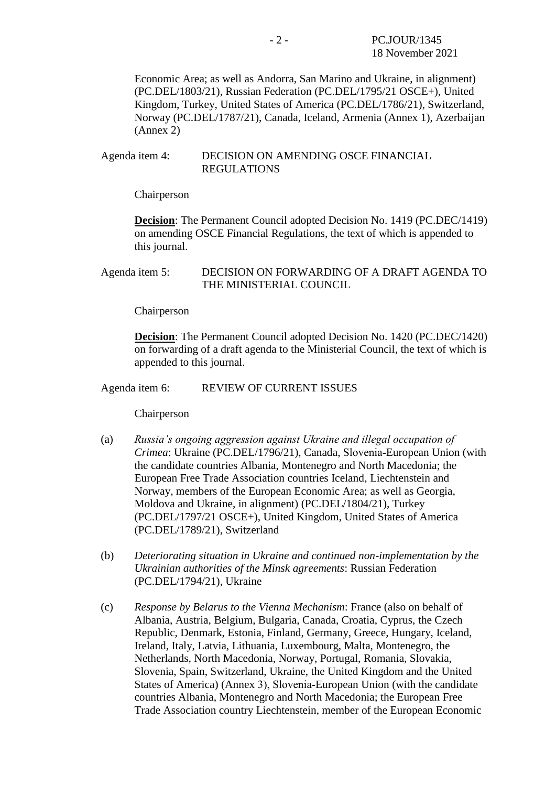Economic Area; as well as Andorra, San Marino and Ukraine, in alignment) (PC.DEL/1803/21), Russian Federation (PC.DEL/1795/21 OSCE+), United Kingdom, Turkey, United States of America (PC.DEL/1786/21), Switzerland, Norway (PC.DEL/1787/21), Canada, Iceland, Armenia (Annex 1), Azerbaijan (Annex 2)

#### Agenda item 4: DECISION ON AMENDING OSCE FINANCIAL REGULATIONS

Chairperson

**Decision**: The Permanent Council adopted Decision No. 1419 (PC.DEC/1419) on amending OSCE Financial Regulations, the text of which is appended to this journal.

### Agenda item 5: DECISION ON FORWARDING OF A DRAFT AGENDA TO THE MINISTERIAL COUNCIL

Chairperson

**Decision**: The Permanent Council adopted Decision No. 1420 (PC.DEC/1420) on forwarding of a draft agenda to the Ministerial Council, the text of which is appended to this journal.

Agenda item 6: REVIEW OF CURRENT ISSUES

Chairperson

- (a) *Russia's ongoing aggression against Ukraine and illegal occupation of Crimea*: Ukraine (PC.DEL/1796/21), Canada, Slovenia‑European Union (with the candidate countries Albania, Montenegro and North Macedonia; the European Free Trade Association countries Iceland, Liechtenstein and Norway, members of the European Economic Area; as well as Georgia, Moldova and Ukraine, in alignment) (PC.DEL/1804/21), Turkey (PC.DEL/1797/21 OSCE+), United Kingdom, United States of America (PC.DEL/1789/21), Switzerland
- (b) *Deteriorating situation in Ukraine and continued non-implementation by the Ukrainian authorities of the Minsk agreements*: Russian Federation (PC.DEL/1794/21), Ukraine
- (c) *Response by Belarus to the Vienna Mechanism*: France (also on behalf of Albania, Austria, Belgium, Bulgaria, Canada, Croatia, Cyprus, the Czech Republic, Denmark, Estonia, Finland, Germany, Greece, Hungary, Iceland, Ireland, Italy, Latvia, Lithuania, Luxembourg, Malta, Montenegro, the Netherlands, North Macedonia, Norway, Portugal, Romania, Slovakia, Slovenia, Spain, Switzerland, Ukraine, the United Kingdom and the United States of America) (Annex 3), Slovenia‑European Union (with the candidate countries Albania, Montenegro and North Macedonia; the European Free Trade Association country Liechtenstein, member of the European Economic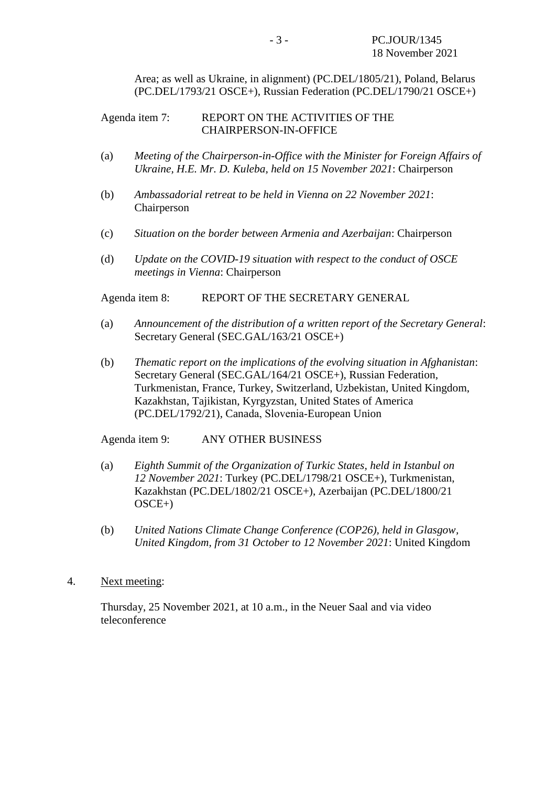Area; as well as Ukraine, in alignment) (PC.DEL/1805/21), Poland, Belarus (PC.DEL/1793/21 OSCE+), Russian Federation (PC.DEL/1790/21 OSCE+)

#### Agenda item 7: REPORT ON THE ACTIVITIES OF THE CHAIRPERSON-IN-OFFICE

- (a) *Meeting of the Chairperson-in-Office with the Minister for Foreign Affairs of Ukraine, H.E. Mr. D. Kuleba, held on 15 November 2021*: Chairperson
- (b) *Ambassadorial retreat to be held in Vienna on 22 November 2021*: Chairperson
- (c) *Situation on the border between Armenia and Azerbaijan*: Chairperson
- (d) *Update on the COVID-19 situation with respect to the conduct of OSCE meetings in Vienna*: Chairperson

Agenda item 8: REPORT OF THE SECRETARY GENERAL

- (a) *Announcement of the distribution of a written report of the Secretary General*: Secretary General (SEC.GAL/163/21 OSCE+)
- (b) *Thematic report on the implications of the evolving situation in Afghanistan*: Secretary General (SEC.GAL/164/21 OSCE+), Russian Federation, Turkmenistan, France, Turkey, Switzerland, Uzbekistan, United Kingdom, Kazakhstan, Tajikistan, Kyrgyzstan, United States of America (PC.DEL/1792/21), Canada, Slovenia‑European Union

Agenda item 9: ANY OTHER BUSINESS

- (a) *Eighth Summit of the Organization of Turkic States, held in Istanbul on 12 November 2021*: Turkey (PC.DEL/1798/21 OSCE+), Turkmenistan, Kazakhstan (PC.DEL/1802/21 OSCE+), Azerbaijan (PC.DEL/1800/21 OSCE+)
- (b) *United Nations Climate Change Conference (COP26), held in Glasgow, United Kingdom, from 31 October to 12 November 2021*: United Kingdom
- 4. Next meeting:

Thursday, 25 November 2021, at 10 a.m., in the Neuer Saal and via video teleconference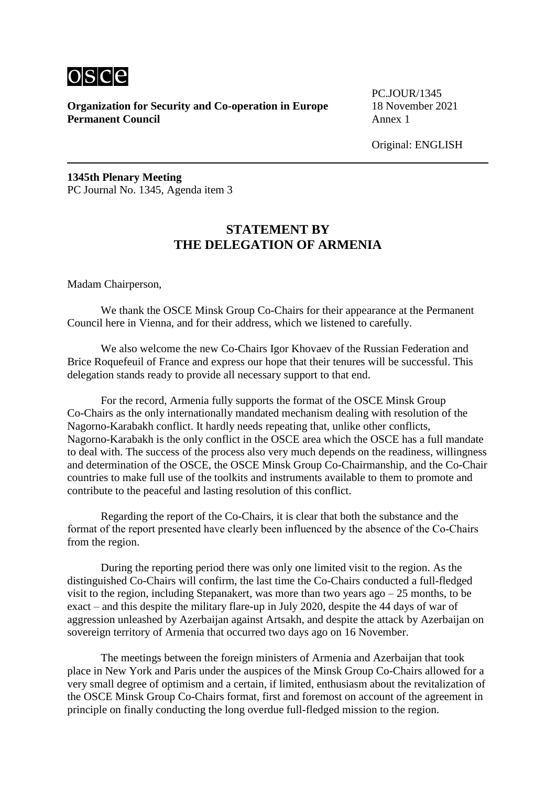

**Organization for Security and Co-operation in Europe** 18 November 2021 **Permanent Council** Annex 1

PC.JOUR/1345

Original: ENGLISH

**1345th Plenary Meeting** PC Journal No. 1345, Agenda item 3

## **STATEMENT BY THE DELEGATION OF ARMENIA**

Madam Chairperson,

We thank the OSCE Minsk Group Co-Chairs for their appearance at the Permanent Council here in Vienna, and for their address, which we listened to carefully.

We also welcome the new Co-Chairs Igor Khovaev of the Russian Federation and Brice Roquefeuil of France and express our hope that their tenures will be successful. This delegation stands ready to provide all necessary support to that end.

For the record, Armenia fully supports the format of the OSCE Minsk Group Co-Chairs as the only internationally mandated mechanism dealing with resolution of the Nagorno-Karabakh conflict. It hardly needs repeating that, unlike other conflicts, Nagorno-Karabakh is the only conflict in the OSCE area which the OSCE has a full mandate to deal with. The success of the process also very much depends on the readiness, willingness and determination of the OSCE, the OSCE Minsk Group Co-Chairmanship, and the Co-Chair countries to make full use of the toolkits and instruments available to them to promote and contribute to the peaceful and lasting resolution of this conflict.

Regarding the report of the Co-Chairs, it is clear that both the substance and the format of the report presented have clearly been influenced by the absence of the Co‑Chairs from the region.

During the reporting period there was only one limited visit to the region. As the distinguished Co-Chairs will confirm, the last time the Co-Chairs conducted a full-fledged visit to the region, including Stepanakert, was more than two years ago  $-25$  months, to be exact – and this despite the military flare-up in July 2020, despite the 44 days of war of aggression unleashed by Azerbaijan against Artsakh, and despite the attack by Azerbaijan on sovereign territory of Armenia that occurred two days ago on 16 November.

The meetings between the foreign ministers of Armenia and Azerbaijan that took place in New York and Paris under the auspices of the Minsk Group Co-Chairs allowed for a very small degree of optimism and a certain, if limited, enthusiasm about the revitalization of the OSCE Minsk Group Co-Chairs format, first and foremost on account of the agreement in principle on finally conducting the long overdue full-fledged mission to the region.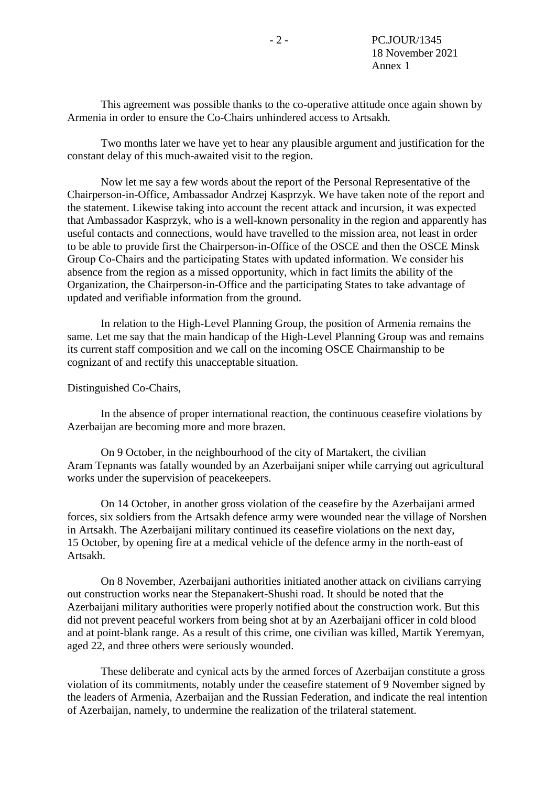This agreement was possible thanks to the co-operative attitude once again shown by Armenia in order to ensure the Co-Chairs unhindered access to Artsakh.

Two months later we have yet to hear any plausible argument and justification for the constant delay of this much-awaited visit to the region.

Now let me say a few words about the report of the Personal Representative of the Chairperson-in-Office, Ambassador Andrzej Kasprzyk. We have taken note of the report and the statement. Likewise taking into account the recent attack and incursion, it was expected that Ambassador Kasprzyk, who is a well-known personality in the region and apparently has useful contacts and connections, would have travelled to the mission area, not least in order to be able to provide first the Chairperson-in-Office of the OSCE and then the OSCE Minsk Group Co‑Chairs and the participating States with updated information. We consider his absence from the region as a missed opportunity, which in fact limits the ability of the Organization, the Chairperson-in-Office and the participating States to take advantage of updated and verifiable information from the ground.

In relation to the High-Level Planning Group, the position of Armenia remains the same. Let me say that the main handicap of the High-Level Planning Group was and remains its current staff composition and we call on the incoming OSCE Chairmanship to be cognizant of and rectify this unacceptable situation.

#### Distinguished Co-Chairs,

In the absence of proper international reaction, the continuous ceasefire violations by Azerbaijan are becoming more and more brazen.

On 9 October, in the neighbourhood of the city of Martakert, the civilian Aram Tepnants was fatally wounded by an Azerbaijani sniper while carrying out agricultural works under the supervision of peacekeepers.

On 14 October, in another gross violation of the ceasefire by the Azerbaijani armed forces, six soldiers from the Artsakh defence army were wounded near the village of Norshen in Artsakh. The Azerbaijani military continued its ceasefire violations on the next day, 15 October, by opening fire at a medical vehicle of the defence army in the north-east of Artsakh.

On 8 November, Azerbaijani authorities initiated another attack on civilians carrying out construction works near the Stepanakert-Shushi road. It should be noted that the Azerbaijani military authorities were properly notified about the construction work. But this did not prevent peaceful workers from being shot at by an Azerbaijani officer in cold blood and at point-blank range. As a result of this crime, one civilian was killed, Martik Yeremyan, aged 22, and three others were seriously wounded.

These deliberate and cynical acts by the armed forces of Azerbaijan constitute a gross violation of its commitments, notably under the ceasefire statement of 9 November signed by the leaders of Armenia, Azerbaijan and the Russian Federation, and indicate the real intention of Azerbaijan, namely, to undermine the realization of the trilateral statement.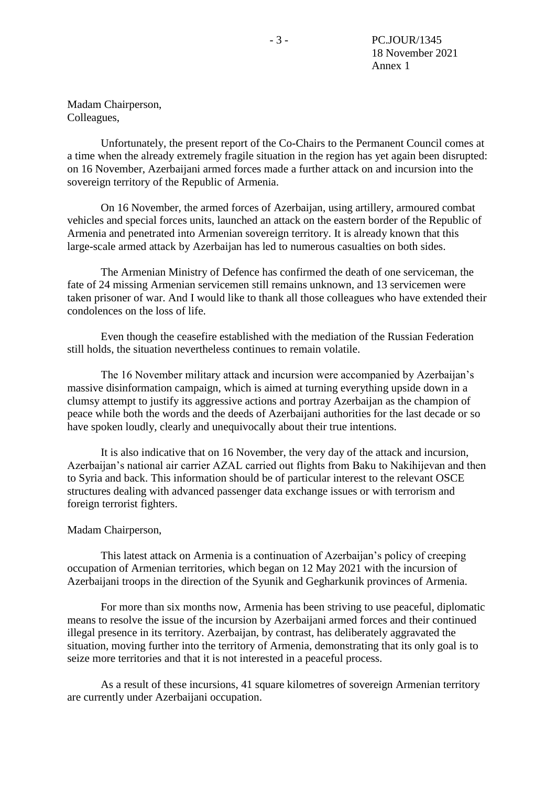Madam Chairperson, Colleagues,

Unfortunately, the present report of the Co-Chairs to the Permanent Council comes at a time when the already extremely fragile situation in the region has yet again been disrupted: on 16 November, Azerbaijani armed forces made a further attack on and incursion into the sovereign territory of the Republic of Armenia.

On 16 November, the armed forces of Azerbaijan, using artillery, armoured combat vehicles and special forces units, launched an attack on the eastern border of the Republic of Armenia and penetrated into Armenian sovereign territory. It is already known that this large-scale armed attack by Azerbaijan has led to numerous casualties on both sides.

The Armenian Ministry of Defence has confirmed the death of one serviceman, the fate of 24 missing Armenian servicemen still remains unknown, and 13 servicemen were taken prisoner of war. And I would like to thank all those colleagues who have extended their condolences on the loss of life.

Even though the ceasefire established with the mediation of the Russian Federation still holds, the situation nevertheless continues to remain volatile.

The 16 November military attack and incursion were accompanied by Azerbaijan's massive disinformation campaign, which is aimed at turning everything upside down in a clumsy attempt to justify its aggressive actions and portray Azerbaijan as the champion of peace while both the words and the deeds of Azerbaijani authorities for the last decade or so have spoken loudly, clearly and unequivocally about their true intentions.

It is also indicative that on 16 November, the very day of the attack and incursion, Azerbaijan's national air carrier AZAL carried out flights from Baku to Nakihijevan and then to Syria and back. This information should be of particular interest to the relevant OSCE structures dealing with advanced passenger data exchange issues or with terrorism and foreign terrorist fighters.

#### Madam Chairperson,

This latest attack on Armenia is a continuation of Azerbaijan's policy of creeping occupation of Armenian territories, which began on 12 May 2021 with the incursion of Azerbaijani troops in the direction of the Syunik and Gegharkunik provinces of Armenia.

For more than six months now, Armenia has been striving to use peaceful, diplomatic means to resolve the issue of the incursion by Azerbaijani armed forces and their continued illegal presence in its territory. Azerbaijan, by contrast, has deliberately aggravated the situation, moving further into the territory of Armenia, demonstrating that its only goal is to seize more territories and that it is not interested in a peaceful process.

As a result of these incursions, 41 square kilometres of sovereign Armenian territory are currently under Azerbaijani occupation.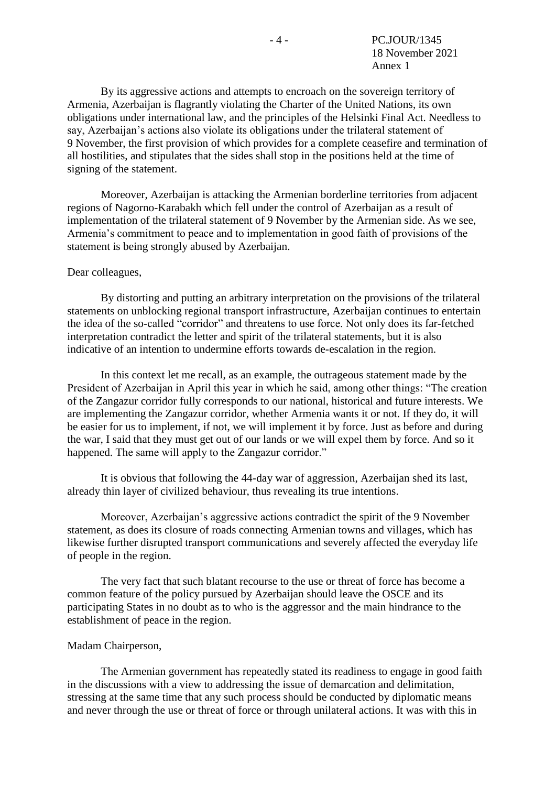By its aggressive actions and attempts to encroach on the sovereign territory of Armenia, Azerbaijan is flagrantly violating the Charter of the United Nations, its own obligations under international law, and the principles of the Helsinki Final Act. Needless to say, Azerbaijan's actions also violate its obligations under the trilateral statement of 9 November, the first provision of which provides for a complete ceasefire and termination of all hostilities, and stipulates that the sides shall stop in the positions held at the time of signing of the statement.

Moreover, Azerbaijan is attacking the Armenian borderline territories from adjacent regions of Nagorno-Karabakh which fell under the control of Azerbaijan as a result of implementation of the trilateral statement of 9 November by the Armenian side. As we see, Armenia's commitment to peace and to implementation in good faith of provisions of the statement is being strongly abused by Azerbaijan.

#### Dear colleagues,

By distorting and putting an arbitrary interpretation on the provisions of the trilateral statements on unblocking regional transport infrastructure, Azerbaijan continues to entertain the idea of the so-called "corridor" and threatens to use force. Not only does its far-fetched interpretation contradict the letter and spirit of the trilateral statements, but it is also indicative of an intention to undermine efforts towards de-escalation in the region.

In this context let me recall, as an example, the outrageous statement made by the President of Azerbaijan in April this year in which he said, among other things: "The creation of the Zangazur corridor fully corresponds to our national, historical and future interests. We are implementing the Zangazur corridor, whether Armenia wants it or not. If they do, it will be easier for us to implement, if not, we will implement it by force. Just as before and during the war, I said that they must get out of our lands or we will expel them by force. And so it happened. The same will apply to the Zangazur corridor."

It is obvious that following the 44-day war of aggression, Azerbaijan shed its last, already thin layer of civilized behaviour, thus revealing its true intentions.

Moreover, Azerbaijan's aggressive actions contradict the spirit of the 9 November statement, as does its closure of roads connecting Armenian towns and villages, which has likewise further disrupted transport communications and severely affected the everyday life of people in the region.

The very fact that such blatant recourse to the use or threat of force has become a common feature of the policy pursued by Azerbaijan should leave the OSCE and its participating States in no doubt as to who is the aggressor and the main hindrance to the establishment of peace in the region.

#### Madam Chairperson,

The Armenian government has repeatedly stated its readiness to engage in good faith in the discussions with a view to addressing the issue of demarcation and delimitation, stressing at the same time that any such process should be conducted by diplomatic means and never through the use or threat of force or through unilateral actions. It was with this in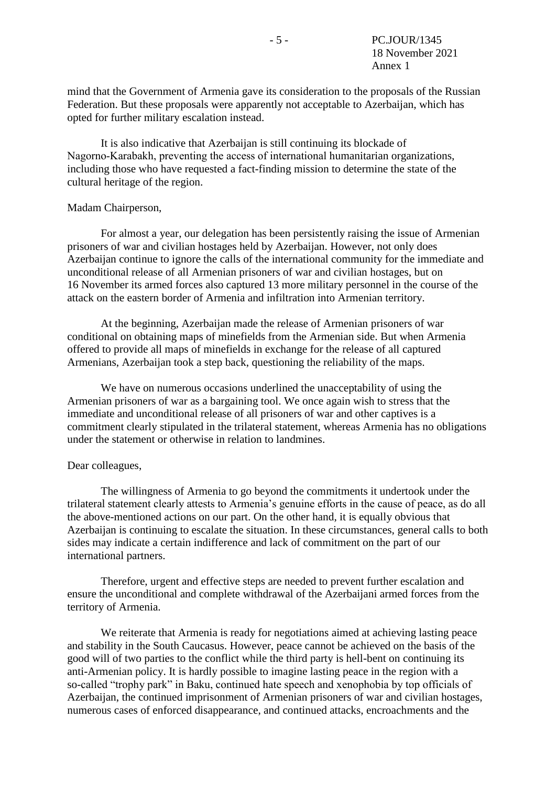mind that the Government of Armenia gave its consideration to the proposals of the Russian Federation. But these proposals were apparently not acceptable to Azerbaijan, which has opted for further military escalation instead.

It is also indicative that Azerbaijan is still continuing its blockade of Nagorno‑Karabakh, preventing the access of international humanitarian organizations, including those who have requested a fact-finding mission to determine the state of the cultural heritage of the region.

#### Madam Chairperson,

For almost a year, our delegation has been persistently raising the issue of Armenian prisoners of war and civilian hostages held by Azerbaijan. However, not only does Azerbaijan continue to ignore the calls of the international community for the immediate and unconditional release of all Armenian prisoners of war and civilian hostages, but on 16 November its armed forces also captured 13 more military personnel in the course of the attack on the eastern border of Armenia and infiltration into Armenian territory.

At the beginning, Azerbaijan made the release of Armenian prisoners of war conditional on obtaining maps of minefields from the Armenian side. But when Armenia offered to provide all maps of minefields in exchange for the release of all captured Armenians, Azerbaijan took a step back, questioning the reliability of the maps.

We have on numerous occasions underlined the unacceptability of using the Armenian prisoners of war as a bargaining tool. We once again wish to stress that the immediate and unconditional release of all prisoners of war and other captives is a commitment clearly stipulated in the trilateral statement, whereas Armenia has no obligations under the statement or otherwise in relation to landmines.

### Dear colleagues,

The willingness of Armenia to go beyond the commitments it undertook under the trilateral statement clearly attests to Armenia's genuine efforts in the cause of peace, as do all the above-mentioned actions on our part. On the other hand, it is equally obvious that Azerbaijan is continuing to escalate the situation. In these circumstances, general calls to both sides may indicate a certain indifference and lack of commitment on the part of our international partners.

Therefore, urgent and effective steps are needed to prevent further escalation and ensure the unconditional and complete withdrawal of the Azerbaijani armed forces from the territory of Armenia.

We reiterate that Armenia is ready for negotiations aimed at achieving lasting peace and stability in the South Caucasus. However, peace cannot be achieved on the basis of the good will of two parties to the conflict while the third party is hell-bent on continuing its anti-Armenian policy. It is hardly possible to imagine lasting peace in the region with a so-called "trophy park" in Baku, continued hate speech and xenophobia by top officials of Azerbaijan, the continued imprisonment of Armenian prisoners of war and civilian hostages, numerous cases of enforced disappearance, and continued attacks, encroachments and the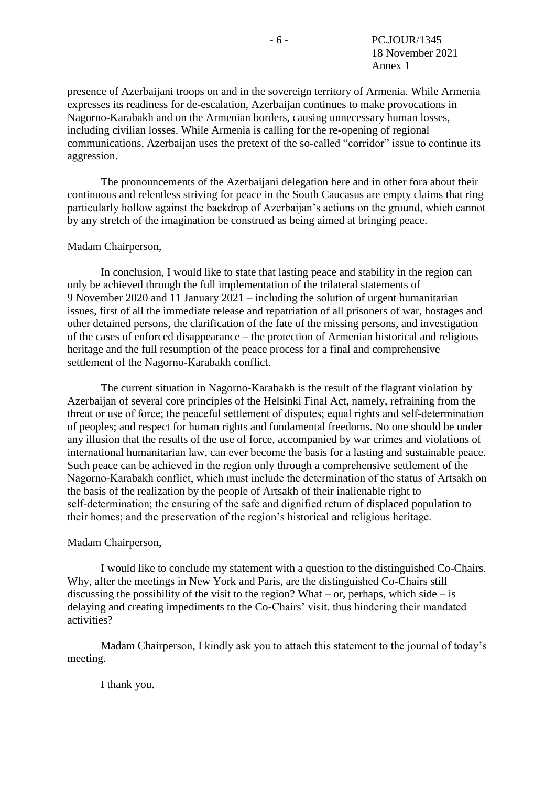Annex 1

presence of Azerbaijani troops on and in the sovereign territory of Armenia. While Armenia expresses its readiness for de-escalation, Azerbaijan continues to make provocations in Nagorno-Karabakh and on the Armenian borders, causing unnecessary human losses, including civilian losses. While Armenia is calling for the re-opening of regional communications, Azerbaijan uses the pretext of the so-called "corridor" issue to continue its aggression.

The pronouncements of the Azerbaijani delegation here and in other fora about their continuous and relentless striving for peace in the South Caucasus are empty claims that ring particularly hollow against the backdrop of Azerbaijan's actions on the ground, which cannot by any stretch of the imagination be construed as being aimed at bringing peace.

#### Madam Chairperson,

In conclusion, I would like to state that lasting peace and stability in the region can only be achieved through the full implementation of the trilateral statements of 9 November 2020 and 11 January 2021 – including the solution of urgent humanitarian issues, first of all the immediate release and repatriation of all prisoners of war, hostages and other detained persons, the clarification of the fate of the missing persons, and investigation of the cases of enforced disappearance – the protection of Armenian historical and religious heritage and the full resumption of the peace process for a final and comprehensive settlement of the Nagorno-Karabakh conflict.

The current situation in Nagorno-Karabakh is the result of the flagrant violation by Azerbaijan of several core principles of the Helsinki Final Act, namely, refraining from the threat or use of force; the peaceful settlement of disputes; equal rights and self‑determination of peoples; and respect for human rights and fundamental freedoms. No one should be under any illusion that the results of the use of force, accompanied by war crimes and violations of international humanitarian law, can ever become the basis for a lasting and sustainable peace. Such peace can be achieved in the region only through a comprehensive settlement of the Nagorno‑Karabakh conflict, which must include the determination of the status of Artsakh on the basis of the realization by the people of Artsakh of their inalienable right to self-determination; the ensuring of the safe and dignified return of displaced population to their homes; and the preservation of the region's historical and religious heritage.

#### Madam Chairperson,

I would like to conclude my statement with a question to the distinguished Co-Chairs. Why, after the meetings in New York and Paris, are the distinguished Co-Chairs still discussing the possibility of the visit to the region? What – or, perhaps, which side – is delaying and creating impediments to the Co-Chairs' visit, thus hindering their mandated activities?

Madam Chairperson, I kindly ask you to attach this statement to the journal of today's meeting.

I thank you.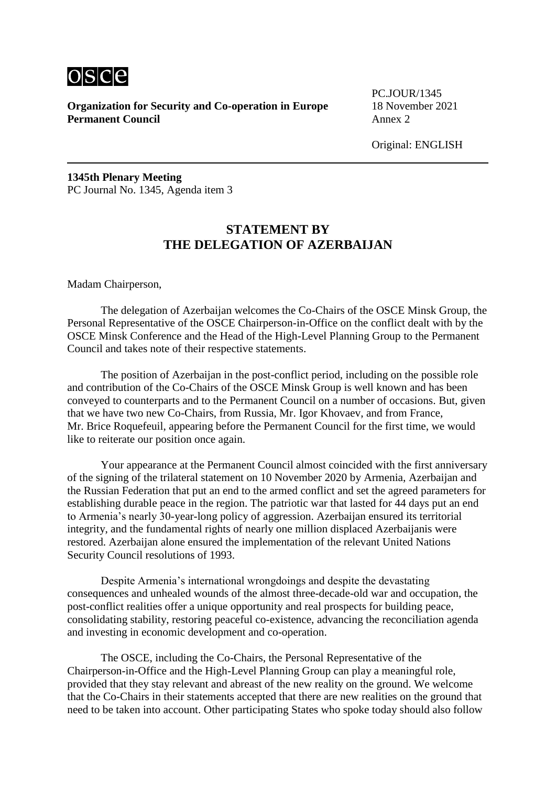

**Organization for Security and Co-operation in Europe** 18 November 2021 **Permanent Council** Annex 2

PC.JOUR/1345

Original: ENGLISH

**1345th Plenary Meeting** PC Journal No. 1345, Agenda item 3

### **STATEMENT BY THE DELEGATION OF AZERBAIJAN**

Madam Chairperson,

The delegation of Azerbaijan welcomes the Co-Chairs of the OSCE Minsk Group, the Personal Representative of the OSCE Chairperson-in-Office on the conflict dealt with by the OSCE Minsk Conference and the Head of the High-Level Planning Group to the Permanent Council and takes note of their respective statements.

The position of Azerbaijan in the post-conflict period, including on the possible role and contribution of the Co-Chairs of the OSCE Minsk Group is well known and has been conveyed to counterparts and to the Permanent Council on a number of occasions. But, given that we have two new Co-Chairs, from Russia, Mr. Igor Khovaev, and from France, Mr. Brice Roquefeuil, appearing before the Permanent Council for the first time, we would like to reiterate our position once again.

Your appearance at the Permanent Council almost coincided with the first anniversary of the signing of the trilateral statement on 10 November 2020 by Armenia, Azerbaijan and the Russian Federation that put an end to the armed conflict and set the agreed parameters for establishing durable peace in the region. The patriotic war that lasted for 44 days put an end to Armenia's nearly 30-year-long policy of aggression. Azerbaijan ensured its territorial integrity, and the fundamental rights of nearly one million displaced Azerbaijanis were restored. Azerbaijan alone ensured the implementation of the relevant United Nations Security Council resolutions of 1993.

Despite Armenia's international wrongdoings and despite the devastating consequences and unhealed wounds of the almost three-decade-old war and occupation, the post-conflict realities offer a unique opportunity and real prospects for building peace, consolidating stability, restoring peaceful co-existence, advancing the reconciliation agenda and investing in economic development and co-operation.

The OSCE, including the Co-Chairs, the Personal Representative of the Chairperson-in-Office and the High-Level Planning Group can play a meaningful role, provided that they stay relevant and abreast of the new reality on the ground. We welcome that the Co-Chairs in their statements accepted that there are new realities on the ground that need to be taken into account. Other participating States who spoke today should also follow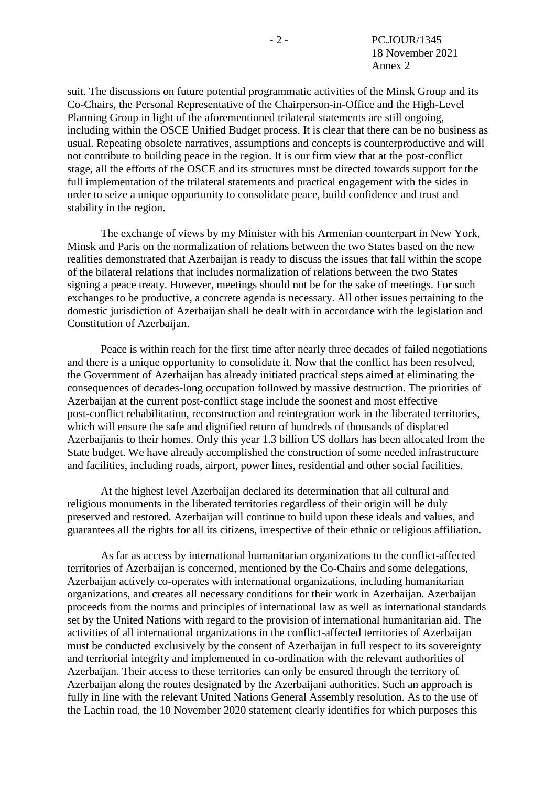suit. The discussions on future potential programmatic activities of the Minsk Group and its Co-Chairs, the Personal Representative of the Chairperson-in-Office and the High-Level Planning Group in light of the aforementioned trilateral statements are still ongoing, including within the OSCE Unified Budget process. It is clear that there can be no business as usual. Repeating obsolete narratives, assumptions and concepts is counterproductive and will not contribute to building peace in the region. It is our firm view that at the post-conflict stage, all the efforts of the OSCE and its structures must be directed towards support for the full implementation of the trilateral statements and practical engagement with the sides in order to seize a unique opportunity to consolidate peace, build confidence and trust and stability in the region.

The exchange of views by my Minister with his Armenian counterpart in New York, Minsk and Paris on the normalization of relations between the two States based on the new realities demonstrated that Azerbaijan is ready to discuss the issues that fall within the scope of the bilateral relations that includes normalization of relations between the two States signing a peace treaty. However, meetings should not be for the sake of meetings. For such exchanges to be productive, a concrete agenda is necessary. All other issues pertaining to the domestic jurisdiction of Azerbaijan shall be dealt with in accordance with the legislation and Constitution of Azerbaijan.

Peace is within reach for the first time after nearly three decades of failed negotiations and there is a unique opportunity to consolidate it. Now that the conflict has been resolved, the Government of Azerbaijan has already initiated practical steps aimed at eliminating the consequences of decades-long occupation followed by massive destruction. The priorities of Azerbaijan at the current post-conflict stage include the soonest and most effective post-conflict rehabilitation, reconstruction and reintegration work in the liberated territories, which will ensure the safe and dignified return of hundreds of thousands of displaced Azerbaijanis to their homes. Only this year 1.3 billion US dollars has been allocated from the State budget. We have already accomplished the construction of some needed infrastructure and facilities, including roads, airport, power lines, residential and other social facilities.

At the highest level Azerbaijan declared its determination that all cultural and religious monuments in the liberated territories regardless of their origin will be duly preserved and restored. Azerbaijan will continue to build upon these ideals and values, and guarantees all the rights for all its citizens, irrespective of their ethnic or religious affiliation.

As far as access by international humanitarian organizations to the conflict-affected territories of Azerbaijan is concerned, mentioned by the Co-Chairs and some delegations, Azerbaijan actively co-operates with international organizations, including humanitarian organizations, and creates all necessary conditions for their work in Azerbaijan. Azerbaijan proceeds from the norms and principles of international law as well as international standards set by the United Nations with regard to the provision of international humanitarian aid. The activities of all international organizations in the conflict-affected territories of Azerbaijan must be conducted exclusively by the consent of Azerbaijan in full respect to its sovereignty and territorial integrity and implemented in co-ordination with the relevant authorities of Azerbaijan. Their access to these territories can only be ensured through the territory of Azerbaijan along the routes designated by the Azerbaijani authorities. Such an approach is fully in line with the relevant United Nations General Assembly resolution. As to the use of the Lachin road, the 10 November 2020 statement clearly identifies for which purposes this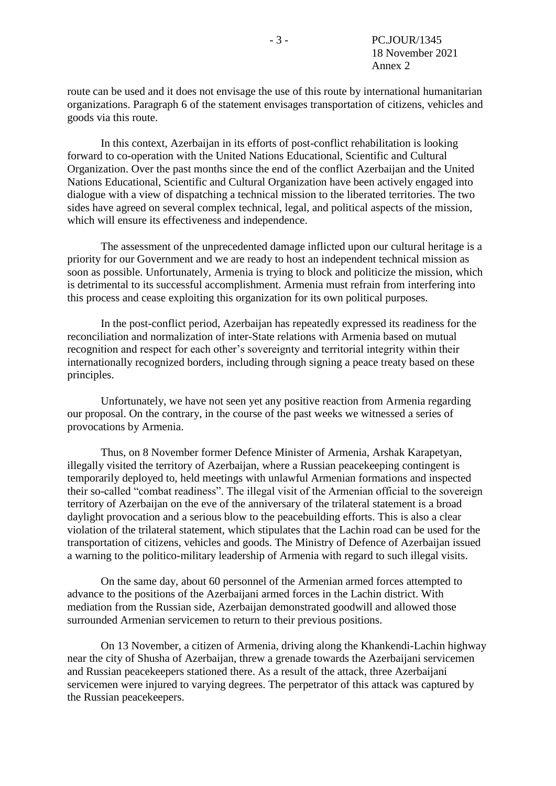route can be used and it does not envisage the use of this route by international humanitarian organizations. Paragraph 6 of the statement envisages transportation of citizens, vehicles and goods via this route.

In this context, Azerbaijan in its efforts of post-conflict rehabilitation is looking forward to co-operation with the United Nations Educational, Scientific and Cultural Organization. Over the past months since the end of the conflict Azerbaijan and the United Nations Educational, Scientific and Cultural Organization have been actively engaged into dialogue with a view of dispatching a technical mission to the liberated territories. The two sides have agreed on several complex technical, legal, and political aspects of the mission, which will ensure its effectiveness and independence.

The assessment of the unprecedented damage inflicted upon our cultural heritage is a priority for our Government and we are ready to host an independent technical mission as soon as possible. Unfortunately, Armenia is trying to block and politicize the mission, which is detrimental to its successful accomplishment. Armenia must refrain from interfering into this process and cease exploiting this organization for its own political purposes.

In the post-conflict period, Azerbaijan has repeatedly expressed its readiness for the reconciliation and normalization of inter-State relations with Armenia based on mutual recognition and respect for each other's sovereignty and territorial integrity within their internationally recognized borders, including through signing a peace treaty based on these principles.

Unfortunately, we have not seen yet any positive reaction from Armenia regarding our proposal. On the contrary, in the course of the past weeks we witnessed a series of provocations by Armenia.

Thus, on 8 November former Defence Minister of Armenia, Arshak Karapetyan, illegally visited the territory of Azerbaijan, where a Russian peacekeeping contingent is temporarily deployed to, held meetings with unlawful Armenian formations and inspected their so-called "combat readiness". The illegal visit of the Armenian official to the sovereign territory of Azerbaijan on the eve of the anniversary of the trilateral statement is a broad daylight provocation and a serious blow to the peacebuilding efforts. This is also a clear violation of the trilateral statement, which stipulates that the Lachin road can be used for the transportation of citizens, vehicles and goods. The Ministry of Defence of Azerbaijan issued a warning to the politico-military leadership of Armenia with regard to such illegal visits.

On the same day, about 60 personnel of the Armenian armed forces attempted to advance to the positions of the Azerbaijani armed forces in the Lachin district. With mediation from the Russian side, Azerbaijan demonstrated goodwill and allowed those surrounded Armenian servicemen to return to their previous positions.

On 13 November, a citizen of Armenia, driving along the Khankendi-Lachin highway near the city of Shusha of Azerbaijan, threw a grenade towards the Azerbaijani servicemen and Russian peacekeepers stationed there. As a result of the attack, three Azerbaijani servicemen were injured to varying degrees. The perpetrator of this attack was captured by the Russian peacekeepers.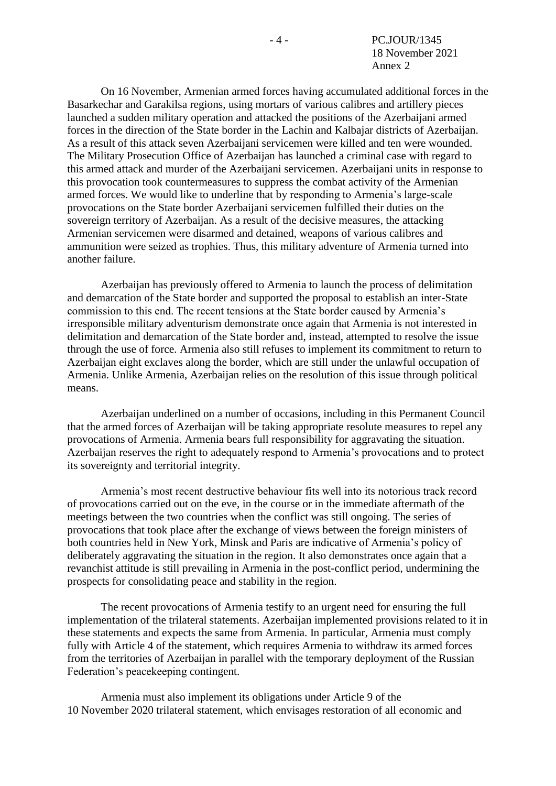On 16 November, Armenian armed forces having accumulated additional forces in the Basarkechar and Garakilsa regions, using mortars of various calibres and artillery pieces launched a sudden military operation and attacked the positions of the Azerbaijani armed forces in the direction of the State border in the Lachin and Kalbajar districts of Azerbaijan. As a result of this attack seven Azerbaijani servicemen were killed and ten were wounded. The Military Prosecution Office of Azerbaijan has launched a criminal case with regard to this armed attack and murder of the Azerbaijani servicemen. Azerbaijani units in response to this provocation took countermeasures to suppress the combat activity of the Armenian armed forces. We would like to underline that by responding to Armenia's large-scale provocations on the State border Azerbaijani servicemen fulfilled their duties on the sovereign territory of Azerbaijan. As a result of the decisive measures, the attacking Armenian servicemen were disarmed and detained, weapons of various calibres and ammunition were seized as trophies. Thus, this military adventure of Armenia turned into another failure.

Azerbaijan has previously offered to Armenia to launch the process of delimitation and demarcation of the State border and supported the proposal to establish an inter-State commission to this end. The recent tensions at the State border caused by Armenia's irresponsible military adventurism demonstrate once again that Armenia is not interested in delimitation and demarcation of the State border and, instead, attempted to resolve the issue through the use of force. Armenia also still refuses to implement its commitment to return to Azerbaijan eight exclaves along the border, which are still under the unlawful occupation of Armenia. Unlike Armenia, Azerbaijan relies on the resolution of this issue through political means.

Azerbaijan underlined on a number of occasions, including in this Permanent Council that the armed forces of Azerbaijan will be taking appropriate resolute measures to repel any provocations of Armenia. Armenia bears full responsibility for aggravating the situation. Azerbaijan reserves the right to adequately respond to Armenia's provocations and to protect its sovereignty and territorial integrity.

Armenia's most recent destructive behaviour fits well into its notorious track record of provocations carried out on the eve, in the course or in the immediate aftermath of the meetings between the two countries when the conflict was still ongoing. The series of provocations that took place after the exchange of views between the foreign ministers of both countries held in New York, Minsk and Paris are indicative of Armenia's policy of deliberately aggravating the situation in the region. It also demonstrates once again that a revanchist attitude is still prevailing in Armenia in the post-conflict period, undermining the prospects for consolidating peace and stability in the region.

The recent provocations of Armenia testify to an urgent need for ensuring the full implementation of the trilateral statements. Azerbaijan implemented provisions related to it in these statements and expects the same from Armenia. In particular, Armenia must comply fully with Article 4 of the statement, which requires Armenia to withdraw its armed forces from the territories of Azerbaijan in parallel with the temporary deployment of the Russian Federation's peacekeeping contingent.

Armenia must also implement its obligations under Article 9 of the 10 November 2020 trilateral statement, which envisages restoration of all economic and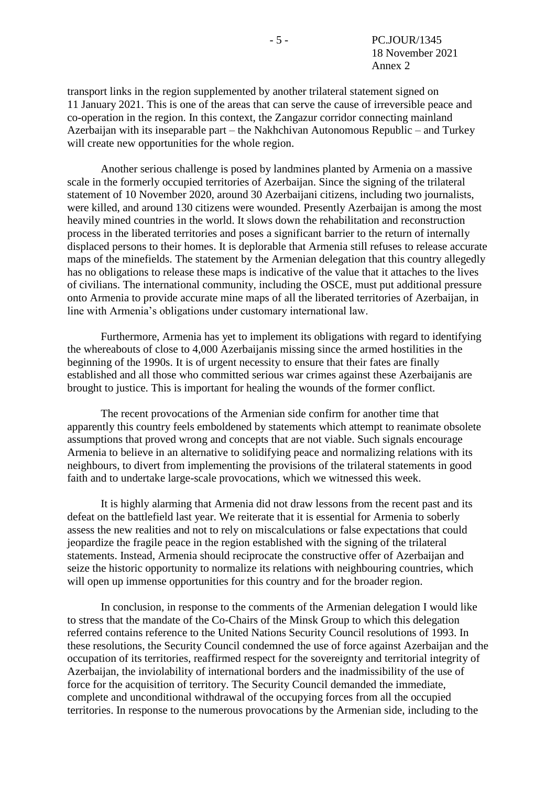transport links in the region supplemented by another trilateral statement signed on 11 January 2021. This is one of the areas that can serve the cause of irreversible peace and co-operation in the region. In this context, the Zangazur corridor connecting mainland Azerbaijan with its inseparable part – the Nakhchivan Autonomous Republic – and Turkey will create new opportunities for the whole region.

Another serious challenge is posed by landmines planted by Armenia on a massive scale in the formerly occupied territories of Azerbaijan. Since the signing of the trilateral statement of 10 November 2020, around 30 Azerbaijani citizens, including two journalists, were killed, and around 130 citizens were wounded. Presently Azerbaijan is among the most heavily mined countries in the world. It slows down the rehabilitation and reconstruction process in the liberated territories and poses a significant barrier to the return of internally displaced persons to their homes. It is deplorable that Armenia still refuses to release accurate maps of the minefields. The statement by the Armenian delegation that this country allegedly has no obligations to release these maps is indicative of the value that it attaches to the lives of civilians. The international community, including the OSCE, must put additional pressure onto Armenia to provide accurate mine maps of all the liberated territories of Azerbaijan, in line with Armenia's obligations under customary international law.

Furthermore, Armenia has yet to implement its obligations with regard to identifying the whereabouts of close to 4,000 Azerbaijanis missing since the armed hostilities in the beginning of the 1990s. It is of urgent necessity to ensure that their fates are finally established and all those who committed serious war crimes against these Azerbaijanis are brought to justice. This is important for healing the wounds of the former conflict.

The recent provocations of the Armenian side confirm for another time that apparently this country feels emboldened by statements which attempt to reanimate obsolete assumptions that proved wrong and concepts that are not viable. Such signals encourage Armenia to believe in an alternative to solidifying peace and normalizing relations with its neighbours, to divert from implementing the provisions of the trilateral statements in good faith and to undertake large-scale provocations, which we witnessed this week.

It is highly alarming that Armenia did not draw lessons from the recent past and its defeat on the battlefield last year. We reiterate that it is essential for Armenia to soberly assess the new realities and not to rely on miscalculations or false expectations that could jeopardize the fragile peace in the region established with the signing of the trilateral statements. Instead, Armenia should reciprocate the constructive offer of Azerbaijan and seize the historic opportunity to normalize its relations with neighbouring countries, which will open up immense opportunities for this country and for the broader region.

In conclusion, in response to the comments of the Armenian delegation I would like to stress that the mandate of the Co-Chairs of the Minsk Group to which this delegation referred contains reference to the United Nations Security Council resolutions of 1993. In these resolutions, the Security Council condemned the use of force against Azerbaijan and the occupation of its territories, reaffirmed respect for the sovereignty and territorial integrity of Azerbaijan, the inviolability of international borders and the inadmissibility of the use of force for the acquisition of territory. The Security Council demanded the immediate, complete and unconditional withdrawal of the occupying forces from all the occupied territories. In response to the numerous provocations by the Armenian side, including to the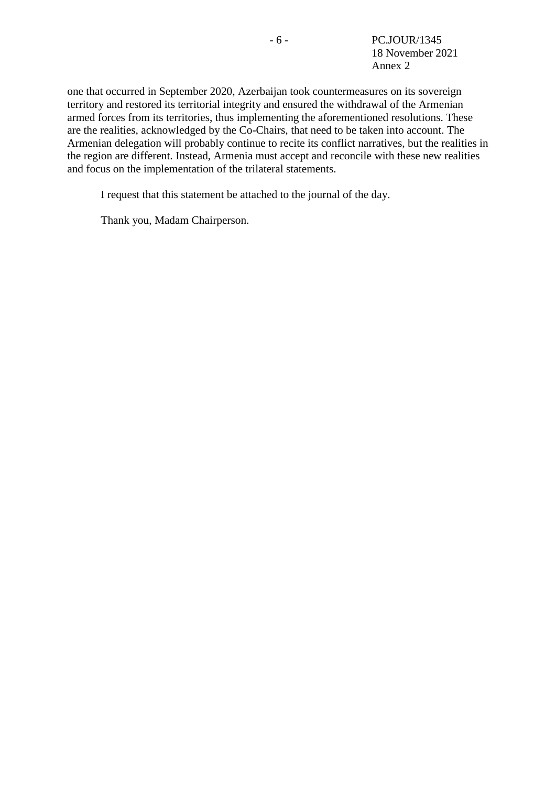one that occurred in September 2020, Azerbaijan took countermeasures on its sovereign territory and restored its territorial integrity and ensured the withdrawal of the Armenian armed forces from its territories, thus implementing the aforementioned resolutions. These are the realities, acknowledged by the Co-Chairs, that need to be taken into account. The Armenian delegation will probably continue to recite its conflict narratives, but the realities in the region are different. Instead, Armenia must accept and reconcile with these new realities and focus on the implementation of the trilateral statements.

I request that this statement be attached to the journal of the day.

Thank you, Madam Chairperson.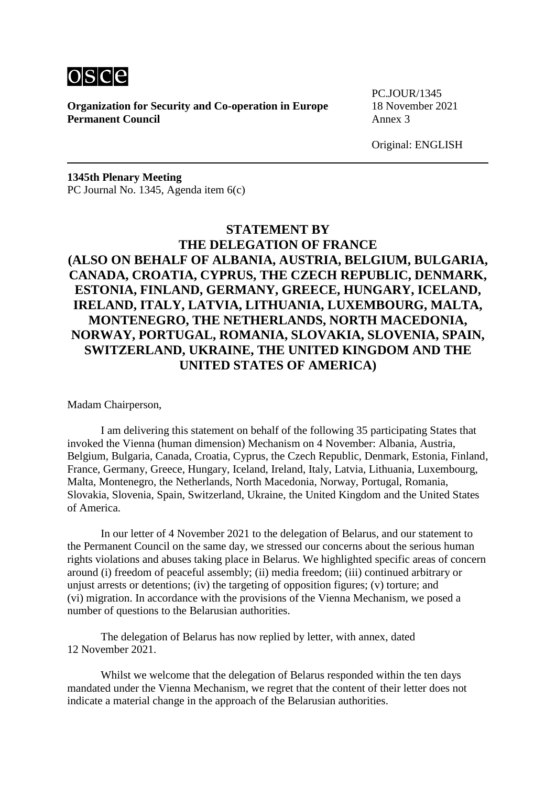

**Organization for Security and Co-operation in Europe** 18 November 2021 **Permanent Council** Annex 3

PC.JOUR/1345

Original: ENGLISH

**1345th Plenary Meeting** PC Journal No. 1345, Agenda item 6(c)

# **STATEMENT BY THE DELEGATION OF FRANCE (ALSO ON BEHALF OF ALBANIA, AUSTRIA, BELGIUM, BULGARIA, CANADA, CROATIA, CYPRUS, THE CZECH REPUBLIC, DENMARK, ESTONIA, FINLAND, GERMANY, GREECE, HUNGARY, ICELAND, IRELAND, ITALY, LATVIA, LITHUANIA, LUXEMBOURG, MALTA, MONTENEGRO, THE NETHERLANDS, NORTH MACEDONIA, NORWAY, PORTUGAL, ROMANIA, SLOVAKIA, SLOVENIA, SPAIN, SWITZERLAND, UKRAINE, THE UNITED KINGDOM AND THE UNITED STATES OF AMERICA)**

Madam Chairperson,

I am delivering this statement on behalf of the following 35 participating States that invoked the Vienna (human dimension) Mechanism on 4 November: Albania, Austria, Belgium, Bulgaria, Canada, Croatia, Cyprus, the Czech Republic, Denmark, Estonia, Finland, France, Germany, Greece, Hungary, Iceland, Ireland, Italy, Latvia, Lithuania, Luxembourg, Malta, Montenegro, the Netherlands, North Macedonia, Norway, Portugal, Romania, Slovakia, Slovenia, Spain, Switzerland, Ukraine, the United Kingdom and the United States of America.

In our letter of 4 November 2021 to the delegation of Belarus, and our statement to the Permanent Council on the same day, we stressed our concerns about the serious human rights violations and abuses taking place in Belarus. We highlighted specific areas of concern around (i) freedom of peaceful assembly; (ii) media freedom; (iii) continued arbitrary or unjust arrests or detentions; (iv) the targeting of opposition figures; (v) torture; and (vi) migration. In accordance with the provisions of the Vienna Mechanism, we posed a number of questions to the Belarusian authorities.

The delegation of Belarus has now replied by letter, with annex, dated 12 November 2021.

Whilst we welcome that the delegation of Belarus responded within the ten days mandated under the Vienna Mechanism, we regret that the content of their letter does not indicate a material change in the approach of the Belarusian authorities.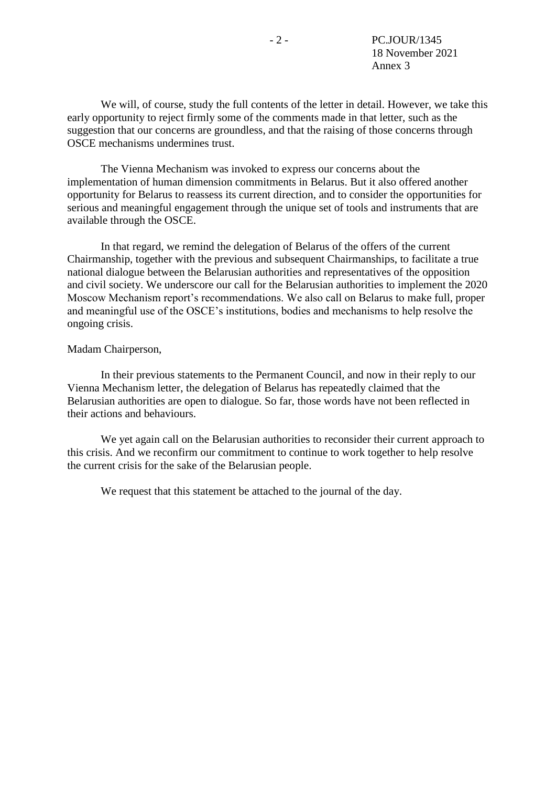We will, of course, study the full contents of the letter in detail. However, we take this early opportunity to reject firmly some of the comments made in that letter, such as the suggestion that our concerns are groundless, and that the raising of those concerns through OSCE mechanisms undermines trust.

The Vienna Mechanism was invoked to express our concerns about the implementation of human dimension commitments in Belarus. But it also offered another opportunity for Belarus to reassess its current direction, and to consider the opportunities for serious and meaningful engagement through the unique set of tools and instruments that are available through the OSCE.

In that regard, we remind the delegation of Belarus of the offers of the current Chairmanship, together with the previous and subsequent Chairmanships, to facilitate a true national dialogue between the Belarusian authorities and representatives of the opposition and civil society. We underscore our call for the Belarusian authorities to implement the 2020 Moscow Mechanism report's recommendations. We also call on Belarus to make full, proper and meaningful use of the OSCE's institutions, bodies and mechanisms to help resolve the ongoing crisis.

#### Madam Chairperson,

In their previous statements to the Permanent Council, and now in their reply to our Vienna Mechanism letter, the delegation of Belarus has repeatedly claimed that the Belarusian authorities are open to dialogue. So far, those words have not been reflected in their actions and behaviours.

We yet again call on the Belarusian authorities to reconsider their current approach to this crisis. And we reconfirm our commitment to continue to work together to help resolve the current crisis for the sake of the Belarusian people.

We request that this statement be attached to the journal of the day.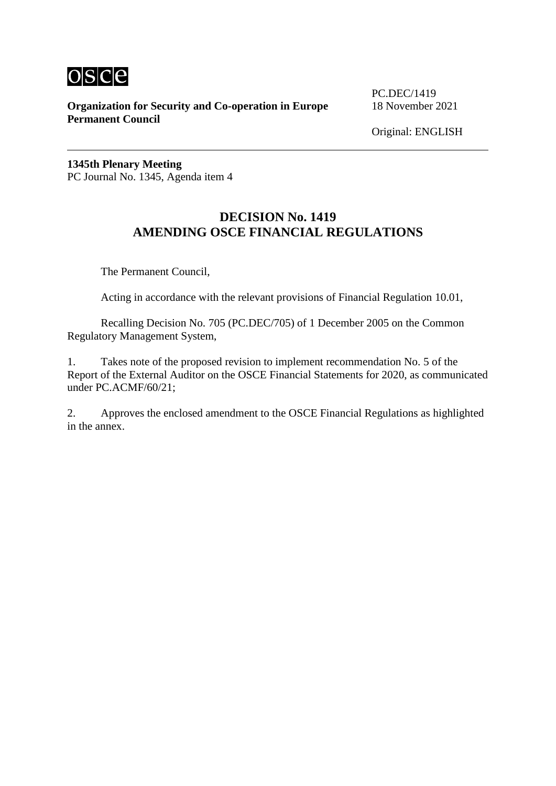

**Organization for Security and Co-operation in Europe** 18 November 2021 **Permanent Council**

PC.DEC/1419

Original: ENGLISH

**1345th Plenary Meeting** PC Journal No. 1345, Agenda item 4

# **DECISION No. 1419 AMENDING OSCE FINANCIAL REGULATIONS**

The Permanent Council,

Acting in accordance with the relevant provisions of Financial Regulation 10.01,

Recalling Decision No. 705 (PC.DEC/705) of 1 December 2005 on the Common Regulatory Management System,

1. Takes note of the proposed revision to implement recommendation No. 5 of the Report of the External Auditor on the OSCE Financial Statements for 2020, as communicated under PC.ACMF/60/21;

2. Approves the enclosed amendment to the OSCE Financial Regulations as highlighted in the annex.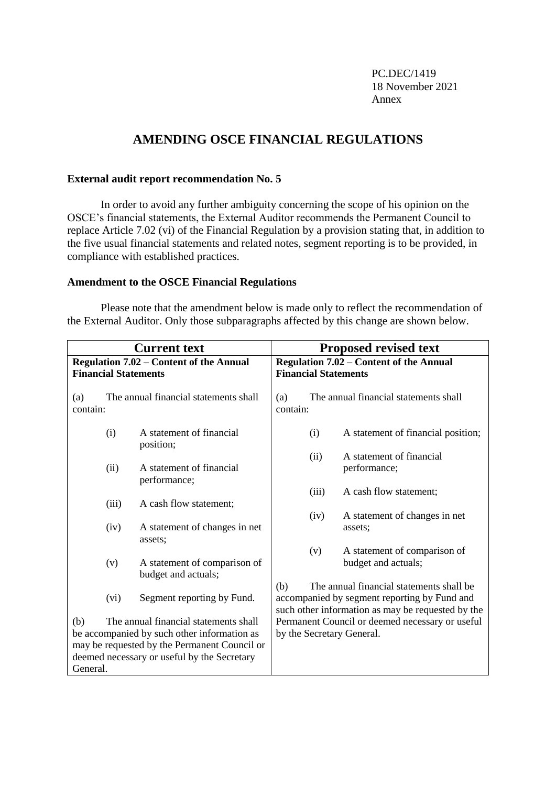PC.DEC/1419 18 November 2021 Annex

# **AMENDING OSCE FINANCIAL REGULATIONS**

### **External audit report recommendation No. 5**

In order to avoid any further ambiguity concerning the scope of his opinion on the OSCE's financial statements, the External Auditor recommends the Permanent Council to replace Article 7.02 (vi) of the Financial Regulation by a provision stating that, in addition to the five usual financial statements and related notes, segment reporting is to be provided, in compliance with established practices.

### **Amendment to the OSCE Financial Regulations**

Please note that the amendment below is made only to reflect the recommendation of the External Auditor. Only those subparagraphs affected by this change are shown below.

|                                                                                                                                                                                                        | <b>Current text</b>                            | <b>Proposed revised text</b>                        |                                                                                                                                                      |       |                                                     |
|--------------------------------------------------------------------------------------------------------------------------------------------------------------------------------------------------------|------------------------------------------------|-----------------------------------------------------|------------------------------------------------------------------------------------------------------------------------------------------------------|-------|-----------------------------------------------------|
|                                                                                                                                                                                                        | <b>Regulation 7.02 – Content of the Annual</b> | <b>Regulation 7.02 – Content of the Annual</b>      |                                                                                                                                                      |       |                                                     |
| <b>Financial Statements</b>                                                                                                                                                                            |                                                |                                                     | <b>Financial Statements</b>                                                                                                                          |       |                                                     |
| The annual financial statements shall<br>(a)<br>contain:                                                                                                                                               |                                                |                                                     | The annual financial statements shall<br>(a)<br>contain:                                                                                             |       |                                                     |
|                                                                                                                                                                                                        | (i)                                            | A statement of financial<br>position;               |                                                                                                                                                      | (i)   | A statement of financial position;                  |
|                                                                                                                                                                                                        | (ii)                                           | A statement of financial<br>performance;            |                                                                                                                                                      | (ii)  | A statement of financial<br>performance;            |
|                                                                                                                                                                                                        | (iii)                                          | A cash flow statement;                              |                                                                                                                                                      | (iii) | A cash flow statement;                              |
|                                                                                                                                                                                                        | (iv)                                           | A statement of changes in net<br>assets:            |                                                                                                                                                      | (iv)  | A statement of changes in net<br>assets;            |
|                                                                                                                                                                                                        | (v)                                            | A statement of comparison of<br>budget and actuals; |                                                                                                                                                      | (v)   | A statement of comparison of<br>budget and actuals; |
|                                                                                                                                                                                                        | (vi)                                           | Segment reporting by Fund.                          | The annual financial statements shall be<br>(b)<br>accompanied by segment reporting by Fund and<br>such other information as may be requested by the |       |                                                     |
| The annual financial statements shall<br>(b)<br>be accompanied by such other information as<br>may be requested by the Permanent Council or<br>deemed necessary or useful by the Secretary<br>General. |                                                |                                                     | Permanent Council or deemed necessary or useful<br>by the Secretary General.                                                                         |       |                                                     |